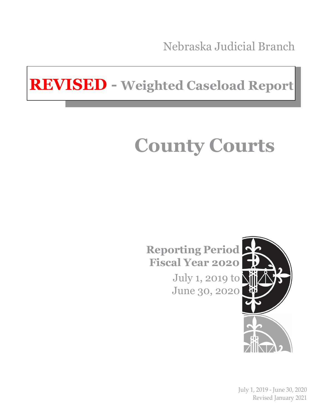Nebraska Judicial Branch

**REVISED - Weighted Caseload Report**

# **County Courts**

**Reporting Period Fiscal Year 2020**

> July 1, 2019 to June 30, 2020



July 1, 2019 - June 30, 2020 Revised January 2021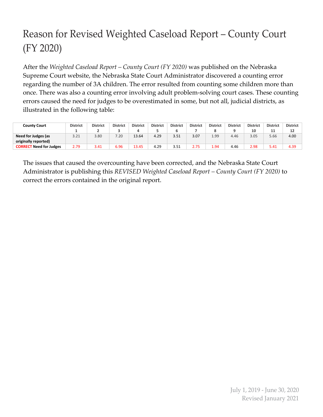## Reason for Revised Weighted Caseload Report – County Court (FY 2020)

After the *Weighted Caseload Report – County Court (FY 2020)* was published on the Nebraska Supreme Court website, the Nebraska State Court Administrator discovered a counting error regarding the number of 3A children. The error resulted from counting some children more than once. There was also a counting error involving adult problem-solving court cases. These counting errors caused the need for judges to be overestimated in some, but not all, judicial districts, as illustrated in the following table:

| County Court                      | <b>District</b> | <b>District</b> | <b>District</b> | <b>District</b> | <b>District</b> | <b>District</b> | <b>District</b> | <b>District</b> | <b>District</b> | <b>District</b> | <b>District</b> | <b>District</b> |
|-----------------------------------|-----------------|-----------------|-----------------|-----------------|-----------------|-----------------|-----------------|-----------------|-----------------|-----------------|-----------------|-----------------|
|                                   |                 |                 |                 |                 |                 |                 |                 |                 |                 | 10              | ᆠ               | 12              |
| Need for Judges (as               | 3.21            | 3.80            | 7.20            | 13.64           | 4.29            | 3.51            | 3.07            | 1.99            | 4.46            | 3.05            | 5.66            | 4.00            |
| originally reported)              |                 |                 |                 |                 |                 |                 |                 |                 |                 |                 |                 |                 |
| Need for Judges<br><b>CORRECT</b> | 2.79            | 3.41            | 6.96            | 13.45           | 4.29            | 3.51            | 2.75            | 1.94            | 4.46            | 2.98            | 5.41            | 4.39            |

The issues that caused the overcounting have been corrected, and the Nebraska State Court Administrator is publishing this *REVISED Weighted Caseload Report – County Court (FY 2020)* to correct the errors contained in the original report.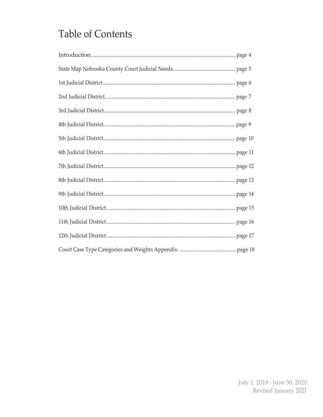#### **Table of Contents**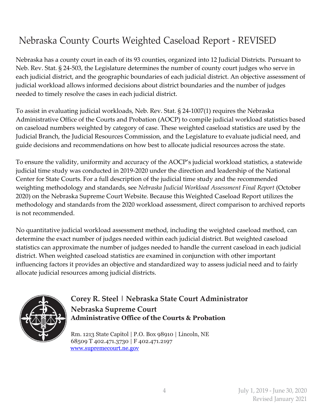#### Nebraska County Courts Weighted Caseload Report - REVISED

Nebraska has a county court in each of its 93 counties, organized into 12 Judicial Districts. Pursuant to Neb. Rev. Stat. § 24-503, the Legislature determines the number of county court judges who serve in each judicial district, and the geographic boundaries of each judicial district. An objective assessment of judicial workload allows informed decisions about district boundaries and the number of judges needed to timely resolve the cases in each judicial district.

To assist in evaluating judicial workloads, Neb. Rev. Stat. § 24-1007(1) requires the Nebraska Administrative Office of the Courts and Probation (AOCP) to compile judicial workload statistics based on caseload numbers weighted by category of case. These weighted caseload statistics are used by the Judicial Branch, the Judicial Resources Commission, and the Legislature to evaluate judicial need, and guide decisions and recommendations on how best to allocate judicial resources across the state.

To ensure the validity, uniformity and accuracy of the AOCP's judicial workload statistics, a statewide judicial time study was conducted in 2019-2020 under the direction and leadership of the National Center for State Courts. For a full description of the judicial time study and the recommended weighting methodology and standards, see *Nebraska Judicial Workload Assessment Final Report* (October 2020) on the Nebraska Supreme Court Website. Because this Weighted Caseload Report utilizes the methodology and standards from the 2020 workload assessment, direct comparison to archived reports is not recommended.

No quantitative judicial workload assessment method, including the weighted caseload method, can determine the exact number of judges needed within each judicial district. But weighted caseload statistics can approximate the number of judges needed to handle the current caseload in each judicial district. When weighted caseload statistics are examined in conjunction with other important influencing factors it provides an objective and standardized way to assess judicial need and to fairly allocate judicial resources among judicial districts.



#### **Corey R. Steel | Nebraska State Court Administrator Nebraska Supreme Court Administrative Office of the Courts & Probation**

Rm. 1213 State Capitol | P.O. Box 98910 | Lincoln, NE 68509 T 402.471.3730 | F 402.471.2197 [www.supremecourt.ne.gov](http://www.supremecourt.ne.gov/)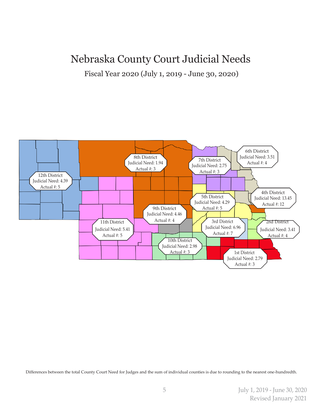#### Nebraska County Court Judicial Needs

Fiscal Year 2020 (July 1, 2019 - June 30, 2020)



Differences between the total County Court Need for Judges and the sum of individual counties is due to rounding to the nearest one-hundredth.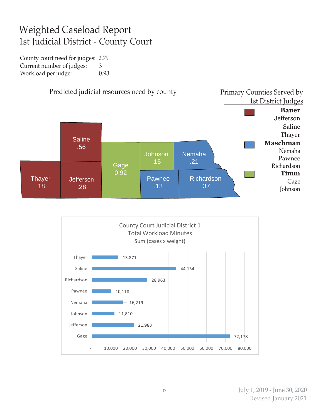#### Weighted Caseload Report 1st Judicial District - County Court

County court need for judges: 2.79 Current number of judges: 3 Workload per judge: 0.93



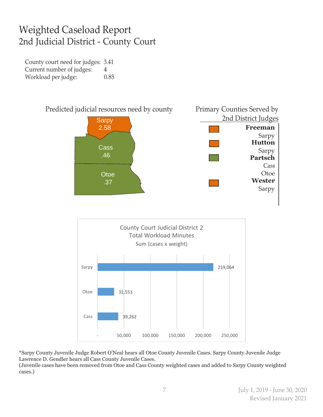#### Weighted Caseload Report 2nd Judicial District - County Court

County court need for judges: 3.41 Current number of judges: 4 Workload per judge: 0.85



\*Sarpy County Juvenile Judge Robert O'Neal hears all Otoe County Juvenile Cases. Sarpy County Juvenile Judge Lawrence D. Gendler hears all Cass County Juvenile Cases.

(Juvenile cases have been removed from Otoe and Cass County weighted cases and added to Sarpy County weighted cases.)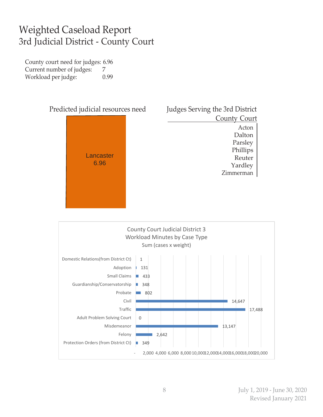#### Weighted Caseload Report 3rd Judicial District - County Court

County court need for judges: 6.96 Current number of judges: 7 Workload per judge: 0.99



2,642

2,000 4,000 6,000 8,000 10,00012,00014,00016,00018,00020,000

349

П

Felony

Protection Orders (from District Ct)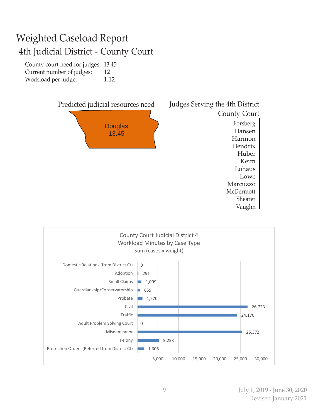## Weighted Caseload Report 4th Judicial District - County Court

County court need for judges: 13.45 Current number of judges: 12 Workload per judge: 1.12



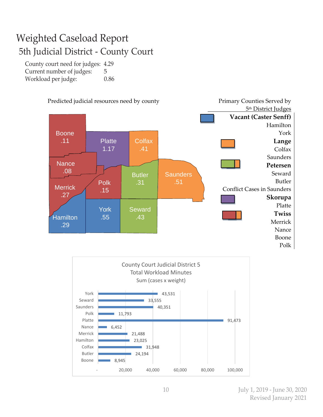#### Weighted Caseload Report 5th Judicial District - County Court

County court need for judges: 4.29 Current number of judges: 5 Workload per judge: 0.86



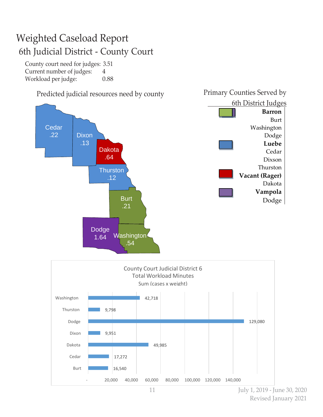## Weighted Caseload Report 6th Judicial District - County Court

County court need for judges: 3.51 Current number of judges: 4 Workload per judge: 0.88



11 July 1, 2019 - June 30, 2020 Revised January 2021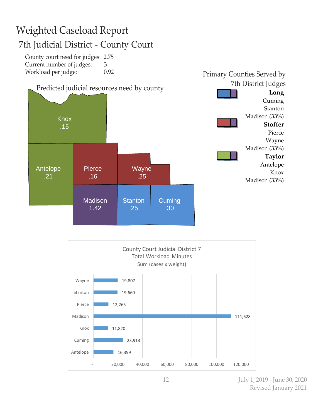## Weighted Caseload Report 7th Judicial District - County Court

County court need for judges: 2.75 Current number of judges: 3 Workload per judge: 0.92





12 July 1, 2019 - June 30, 2020 Revised January 2021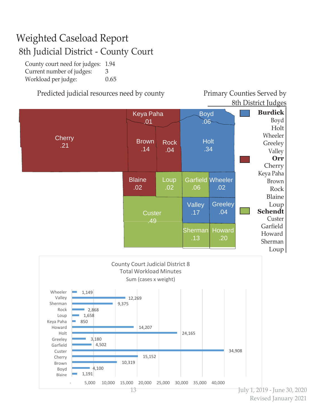#### Weighted Caseload Report 8th Judicial District - County Court

County court need for judges: 1.94 Current number of judges: 3 Workload per judge: 0.65

#### Predicted judicial resources need by county Primary Counties Served by

8th District Judges



Revised January 2021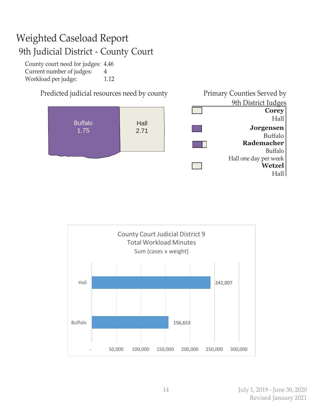#### Weighted Caseload Report 9th Judicial District - County Court

County court need for judges: 4.46 Current number of judges: 4 Workload per judge: 1.12



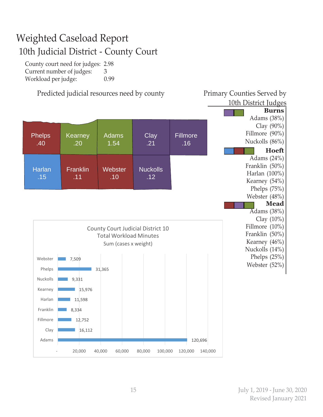#### Weighted Caseload Report 10th Judicial District - County Court

County court need for judges: 2.98 Current number of judges: 3 Workload per judge: 0.99

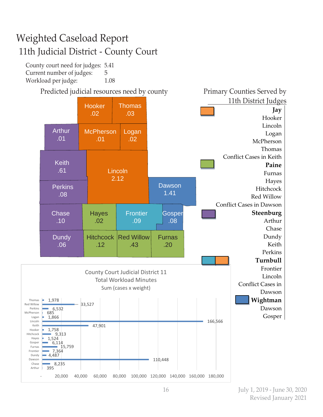### Weighted Caseload Report 11th Judicial District - County Court

County court need for judges: 5.41 Current number of judges: 5 Workload per judge: 1.08

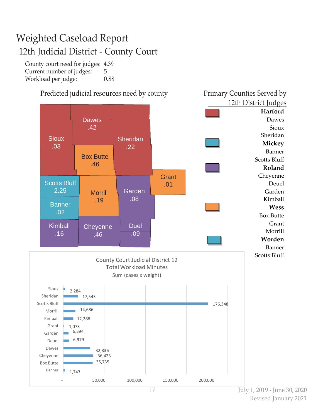## Weighted Caseload Report 12th Judicial District - County Court

County court need for judges: 4.39 Current number of judges: 5 Workload per judge: 0.88